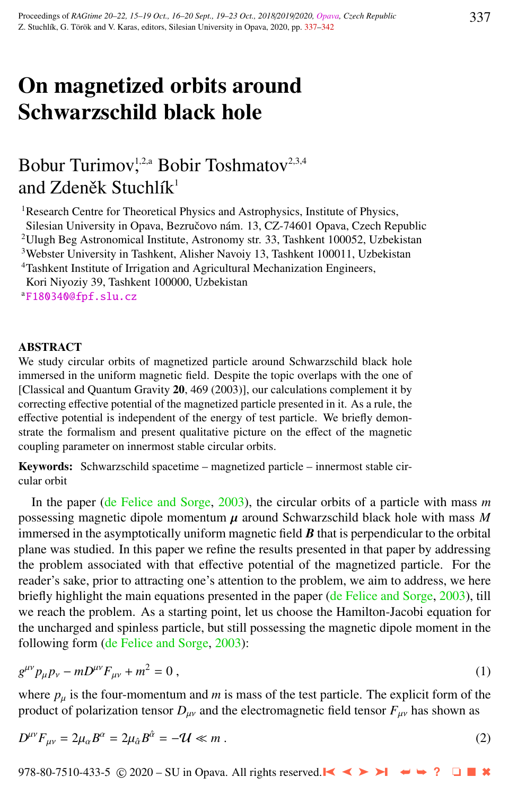# On magnetized orbits around Schwarzschild black hole

# Bobur Turimov,<sup>1,2,a</sup> Bobir Toshmatov<sup>2,3,4</sup> and Zdeněk Stuchlík $^1$

<sup>1</sup>Research Centre for Theoretical Physics and Astrophysics, Institute of Physics, Silesian University in Opava, Bezručovo nám. 13, CZ-74601 Opava, Czech Republic <sup>2</sup>Ulugh Beg Astronomical Institute, Astronomy str. 33, Tashkent 100052, Uzbekistan <sup>3</sup>Webster University in Tashkent, Alisher Navoiy 13, Tashkent 100011, Uzbekistan <sup>4</sup>Tashkent Institute of Irrigation and Agricultural Mechanization Engineers,

Kori Niyoziy 39, Tashkent 100000, Uzbekistan <sup>a</sup>[F180340@fpf.slu.cz](http://www.physics.cz/ F180340@fpf.slu.cz)

#### **ABSTRACT**

We study circular orbits of magnetized particle around Schwarzschild black hole immersed in the uniform magnetic field. Despite the topic overlaps with the one of [Classical and Quantum Gravity 20, 469 (2003)], our calculations complement it by correcting effective potential of the magnetized particle presented in it. As a rule, the effective potential is independent of the energy of test particle. We briefly demonstrate the formalism and present qualitative picture on the effect of the magnetic coupling parameter on innermost stable circular orbits.

Keywords: Schwarzschild spacetime – magnetized particle – innermost stable circular orbit

In the paper [\(de Felice and Sorge,](#page-4-0) [2003\)](#page-4-0), the circular orbits of a particle with mass *m* possessing magnetic dipole momentum  $\mu$  around Schwarzschild black hole with mass  $M$ immersed in the asymptotically uniform magnetic field  $\boldsymbol{B}$  that is perpendicular to the orbital plane was studied. In this paper we refine the results presented in that paper by addressing the problem associated with that effective potential of the magnetized particle. For the reader's sake, prior to attracting one's attention to the problem, we aim to address, we here briefly highlight the main equations presented in the paper [\(de Felice and Sorge,](#page-4-0) [2003\)](#page-4-0), till we reach the problem. As a starting point, let us choose the Hamilton-Jacobi equation for the uncharged and spinless particle, but still possessing the magnetic dipole moment in the following form [\(de Felice and Sorge,](#page-4-0) [2003\)](#page-4-0):

$$
g^{\mu\nu}p_{\mu}p_{\nu}-mD^{\mu\nu}F_{\mu\nu}+m^2=0\,,\tag{1}
$$

where  $p_u$  is the four-momentum and  $m$  is mass of the test particle. The explicit form of the product of polarization tensor  $D_{\mu\nu}$  and the electromagnetic field tensor  $F_{\mu\nu}$  has shown as

$$
D^{\mu\nu}F_{\mu\nu} = 2\mu_{\alpha}B^{\alpha} = 2\mu_{\hat{\alpha}}B^{\hat{\alpha}} = -\mathcal{U} \ll m. \tag{2}
$$

978-80-7510-433-5 © 2020 – SU in Opava. All rights reserved. ➤❙ ➤➤ ➤❙ ➥➥ **?** ❏ ■ ✖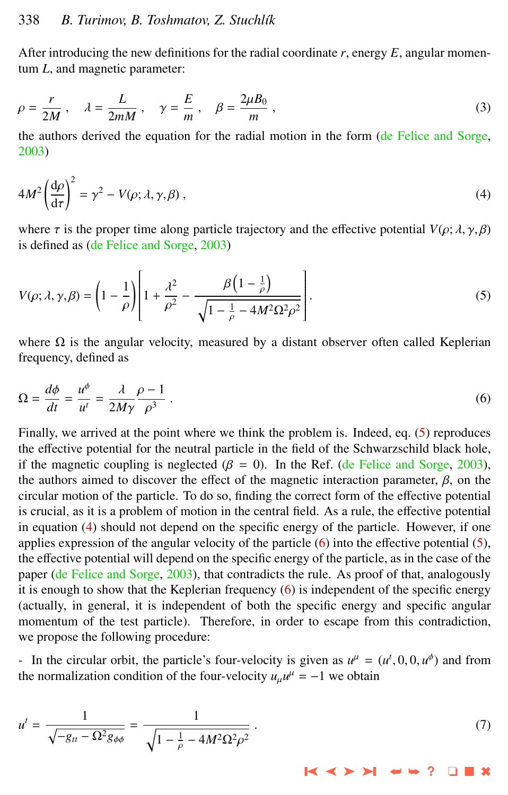<span id="page-1-0"></span>After introducing the new definitions for the radial coordinate  $r$ , energy  $E$ , angular momentum *L*, and magnetic parameter:

$$
\rho = \frac{r}{2M}, \quad \lambda = \frac{L}{2mM}, \quad \gamma = \frac{E}{m}, \quad \beta = \frac{2\mu B_0}{m}, \tag{3}
$$

the authors derived the equation for the radial motion in the form [\(de Felice and Sorge,](#page-4-0) [2003\)](#page-4-0)

$$
4M^2 \left(\frac{d\rho}{d\tau}\right)^2 = \gamma^2 - V(\rho; \lambda, \gamma, \beta) \,,\tag{4}
$$

where  $\tau$  is the proper time along particle trajectory and the effective potential  $V(\rho; \lambda, \gamma, \beta)$ is defined as [\(de Felice and Sorge,](#page-4-0) [2003\)](#page-4-0)

$$
V(\rho; \lambda, \gamma, \beta) = \left(1 - \frac{1}{\rho}\right) \left[1 + \frac{\lambda^2}{\rho^2} - \frac{\beta \left(1 - \frac{1}{\rho}\right)}{\sqrt{1 - \frac{1}{\rho} - 4M^2 \Omega^2 \rho^2}}\right].
$$
\n<sup>(5)</sup>

where  $\Omega$  is the angular velocity, measured by a distant observer often called Keplerian frequency, defined as

$$
\Omega = \frac{d\phi}{dt} = \frac{u^{\phi}}{u^t} = \frac{\lambda}{2M\gamma} \frac{\rho - 1}{\rho^3} \,. \tag{6}
$$

Finally, we arrived at the point where we think the problem is. Indeed, eq. (5) reproduces the effective potential for the neutral particle in the field of the Schwarzschild black hole, if the magnetic coupling is neglected ( $\beta = 0$ ). In the Ref. [\(de Felice and Sorge,](#page-4-0) [2003\)](#page-4-0), the authors aimed to discover the effect of the magnetic interaction parameter,  $\beta$ , on the circular motion of the particle. To do so, finding the correct form of the effective potential is crucial, as it is a problem of motion in the central field. As a rule, the effective potential in equation (4) should not depend on the specific energy of the particle. However, if one applies expression of the angular velocity of the particle (6) into the effective potential (5), the effective potential will depend on the specific energy of the particle, as in the case of the paper [\(de Felice and Sorge,](#page-4-0) [2003\)](#page-4-0), that contradicts the rule. As proof of that, analogously it is enough to show that the Keplerian frequency (6) is independent of the specific energy (actually, in general, it is independent of both the specific energy and specific angular momentum of the test particle). Therefore, in order to escape from this contradiction, we propose the following procedure:

- In the circular orbit, the particle's four-velocity is given as  $u^{\mu} = (u^t, 0, 0, u^{\phi})$  and from the pormalization condition of the four-velocity  $u u^{\mu} = -1$  we obtain the normalization condition of the four-velocity  $u_{\mu}u^{\mu} = -1$  we obtain

$$
u^{t} = \frac{1}{\sqrt{-g_{tt} - \Omega^{2} g_{\phi\phi}}} = \frac{1}{\sqrt{1 - \frac{1}{\rho} - 4M^{2}\Omega^{2}\rho^{2}}}.
$$
\n(7)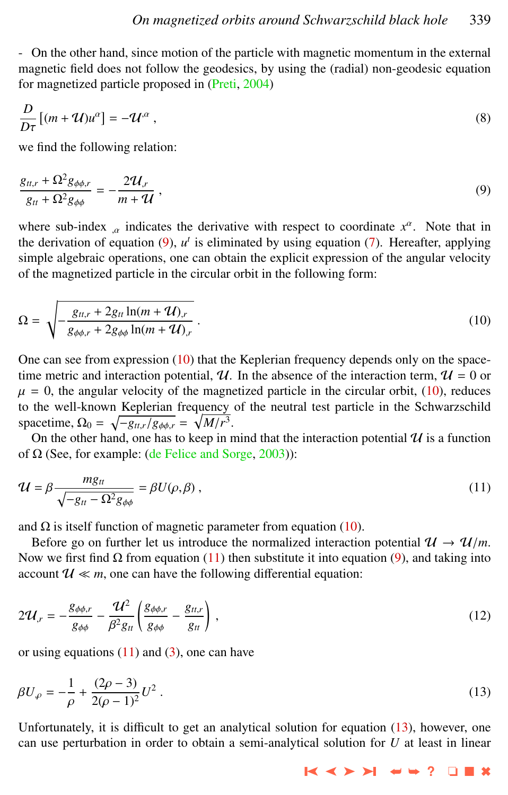<span id="page-2-0"></span>- On the other hand, since motion of the particle with magnetic momentum in the external magnetic field does not follow the geodesics, by using the (radial) non-geodesic equation for magnetized particle proposed in [\(Preti,](#page-5-0) [2004\)](#page-5-0)

$$
\frac{D}{D\tau}[(m+\mathcal{U})u^{\alpha}] = -\mathcal{U}^{\alpha},
$$
  
we find the following relation:

$$
\frac{g_{tt,r} + \Omega^2 g_{\phi\phi,r}}{g_{tt} + \Omega^2 g_{\phi\phi}} = -\frac{2\mathcal{U}_{,r}}{m + \mathcal{U}},\tag{9}
$$

where sub-index  $\alpha$  indicates the derivative with respect to coordinate  $x^{\alpha}$ . Note that in the derivation of counting (0) of is aliminated by using counting (7). Hencefter, englying the derivation of equation  $(9)$ ,  $u<sup>t</sup>$  is eliminated by using equation  $(7)$ . Hereafter, applying simple algebraic operations, one can obtain the explicit expression of the angular velocity of the magnetized particle in the circular orbit in the following form:

$$
\Omega = \sqrt{-\frac{g_{tt,r} + 2g_{tt} \ln(m + \mathcal{U})_r}{g_{\phi\phi,r} + 2g_{\phi\phi} \ln(m + \mathcal{U})_r}}.
$$
\n(10)

One can see from expression  $(10)$  that the Keplerian frequency depends only on the spacetime metric and interaction potential,  $\mathcal{U}$ . In the absence of the interaction term,  $\mathcal{U} = 0$  or  $\mu = 0$ , the angular velocity of the magnetized particle in the circular orbit, (10), reduces to the well-known Keplerian frequency of the neutral test particle in the Schwarzschild spacetime,  $\Omega_0 = \sqrt{-g_{tt,r}/g_{\phi\phi,r}} = \sqrt{M/r^3}$ .<br>On the other hand, one has to keep in r

On the other hand, one has to keep in mind that the interaction potential  $\mathcal U$  is a function of  $\Omega$  (See, for example: [\(de Felice and Sorge,](#page-4-0) [2003\)](#page-4-0)):

$$
\mathcal{U} = \beta \frac{mg_{tt}}{\sqrt{-g_{tt} - \Omega^2 g_{\phi\phi}}} = \beta U(\rho, \beta) , \qquad (11)
$$

and  $\Omega$  is itself function of magnetic parameter from equation (10).

Before go on further let us introduce the normalized interaction potential  $\mathcal{U} \to \mathcal{U}/m$ . Now we first find  $\Omega$  from equation (11) then substitute it into equation (9), and taking into account  $\mathcal{U} \ll m$ , one can have the following differential equation:

$$
2\mathcal{U}_{,r} = -\frac{g_{\phi\phi,r}}{g_{\phi\phi}} - \frac{\mathcal{U}^2}{\beta^2 g_{tt}} \left( \frac{g_{\phi\phi,r}}{g_{\phi\phi}} - \frac{g_{tt,r}}{g_{tt}} \right) ,
$$
 (12)

or using equations  $(11)$  and  $(3)$ , one can have

$$
\beta U_{\varphi} = -\frac{1}{\rho} + \frac{(2\rho - 3)}{2(\rho - 1)^2} U^2 \,. \tag{13}
$$

Unfortunately, it is difficult to get an analytical solution for equation (13), however, one can use perturbation in order to obtain a semi-analytical solution for *U* at least in linear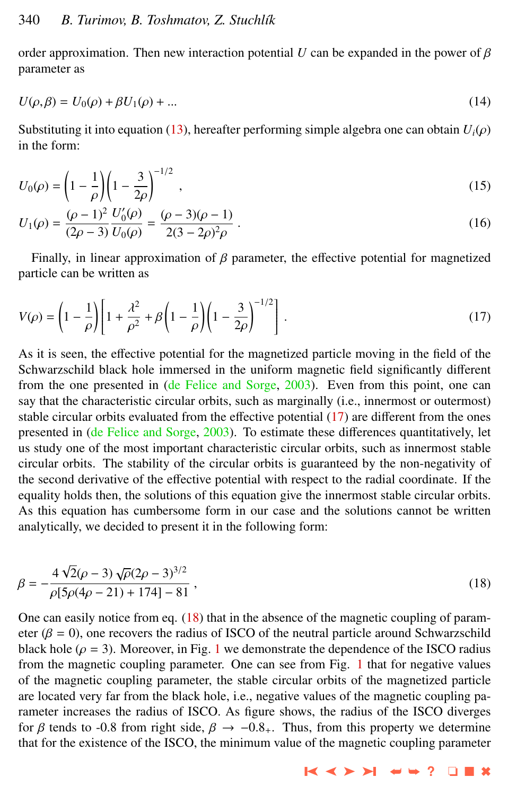order approximation. Then new interaction potential *U* can be expanded in the power of  $\beta$ parameter as

$$
U(\rho, \beta) = U_0(\rho) + \beta U_1(\rho) + \dots
$$
 (14)

Substituting it into equation [\(13\)](#page-2-0), hereafter performing simple algebra one can obtain  $U_i(\rho)$ in the form:

$$
U_0(\rho) = \left(1 - \frac{1}{\rho}\right) \left(1 - \frac{3}{2\rho}\right)^{-1/2},\tag{15}
$$

$$
U_1(\rho) = \frac{(\rho - 1)^2}{(2\rho - 3)} \frac{U'_0(\rho)}{U_0(\rho)} = \frac{(\rho - 3)(\rho - 1)}{2(3 - 2\rho)^2 \rho} \,. \tag{16}
$$

Finally, in linear approximation of  $\beta$  parameter, the effective potential for magnetized particle can be written as

$$
V(\rho) = \left(1 - \frac{1}{\rho}\right) \left[1 + \frac{\lambda^2}{\rho^2} + \beta \left(1 - \frac{1}{\rho}\right) \left(1 - \frac{3}{2\rho}\right)^{-1/2}\right].
$$
 (17)

As it is seen, the effective potential for the magnetized particle moving in the field of the Schwarzschild black hole immersed in the uniform magnetic field significantly different from the one presented in [\(de Felice and Sorge,](#page-4-0) [2003\)](#page-4-0). Even from this point, one can say that the characteristic circular orbits, such as marginally (i.e., innermost or outermost) stable circular orbits evaluated from the effective potential (17) are different from the ones presented in [\(de Felice and Sorge,](#page-4-0) [2003\)](#page-4-0). To estimate these differences quantitatively, let us study one of the most important characteristic circular orbits, such as innermost stable circular orbits. The stability of the circular orbits is guaranteed by the non-negativity of the second derivative of the effective potential with respect to the radial coordinate. If the equality holds then, the solutions of this equation give the innermost stable circular orbits. As this equation has cumbersome form in our case and the solutions cannot be written analytically, we decided to present it in the following form:

$$
\beta = -\frac{4\sqrt{2}(\rho - 3)\sqrt{\rho}(2\rho - 3)^{3/2}}{\rho[5\rho(4\rho - 21) + 174] - 81},
$$
\n(18)

One can easily notice from eq.  $(18)$  that in the absence of the magnetic coupling of parameter ( $\beta = 0$ ), one recovers the radius of ISCO of the neutral particle around Schwarzschild black hole ( $\rho = 3$ ). Moreover, in Fig. [1](#page-4-0) we demonstrate the dependence of the ISCO radius from the magnetic coupling parameter. One can see from Fig. [1](#page-4-0) that for negative values of the magnetic coupling parameter, the stable circular orbits of the magnetized particle are located very far from the black hole, i.e., negative values of the magnetic coupling parameter increases the radius of ISCO. As figure shows, the radius of the ISCO diverges for  $\beta$  tends to -0.8 from right side,  $\beta \rightarrow -0.8_{+}$ . Thus, from this property we determine that for the existence of the ISCO, the minimum value of the magnetic coupling parameter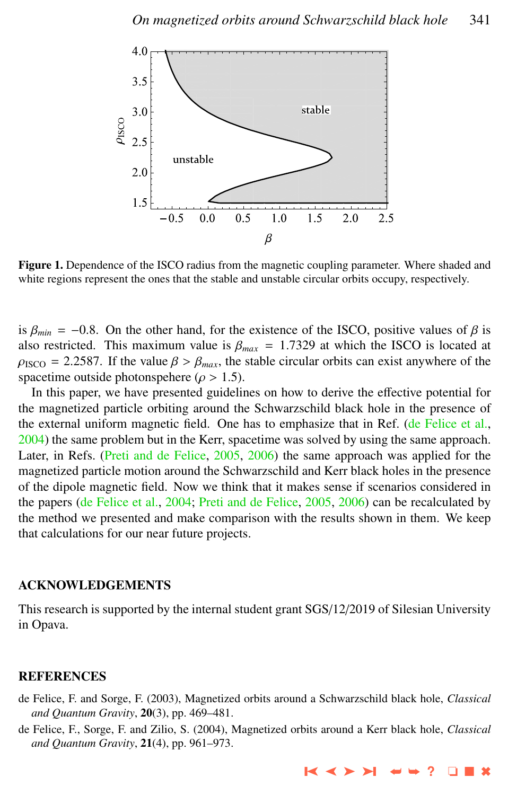<span id="page-4-0"></span>

Figure 1. Dependence of the ISCO radius from the magnetic coupling parameter. Where shaded and white regions represent the ones that the stable and unstable circular orbits occupy, respectively.

is  $\beta_{min} = -0.8$ . On the other hand, for the existence of the ISCO, positive values of  $\beta$  is also restricted. This maximum value is  $\beta_{max} = 1.7329$  at which the ISCO is located at  $\rho_{\text{ISCO}} = 2.2587$ . If the value  $\beta > \beta_{max}$ , the stable circular orbits can exist anywhere of the spacetime outside photonspehere ( $\rho > 1.5$ ).

In this paper, we have presented guidelines on how to derive the effective potential for the magnetized particle orbiting around the Schwarzschild black hole in the presence of the external uniform magnetic field. One has to emphasize that in Ref. (de Felice et al., 2004) the same problem but in the Kerr, spacetime was solved by using the same approach. Later, in Refs. [\(Preti and de Felice,](#page-5-0) [2005,](#page-5-0) [2006\)](#page-5-0) the same approach was applied for the magnetized particle motion around the Schwarzschild and Kerr black holes in the presence of the dipole magnetic field. Now we think that it makes sense if scenarios considered in the papers (de Felice et al., 2004; [Preti and de Felice,](#page-5-0) [2005,](#page-5-0) [2006\)](#page-5-0) can be recalculated by the method we presented and make comparison with the results shown in them. We keep that calculations for our near future projects.

### ACKNOWLEDGEMENTS

This research is supported by the internal student grant SGS/12/2019 of Silesian University in Opava.

## **REFERENCES**

- de Felice, F. and Sorge, F. (2003), Magnetized orbits around a Schwarzschild black hole, *Classical and Quantum Gravity*, 20(3), pp. 469–481.
- de Felice, F., Sorge, F. and Zilio, S. (2004), Magnetized orbits around a Kerr black hole, *Classical and Quantum Gravity*, 21(4), pp. 961–973.